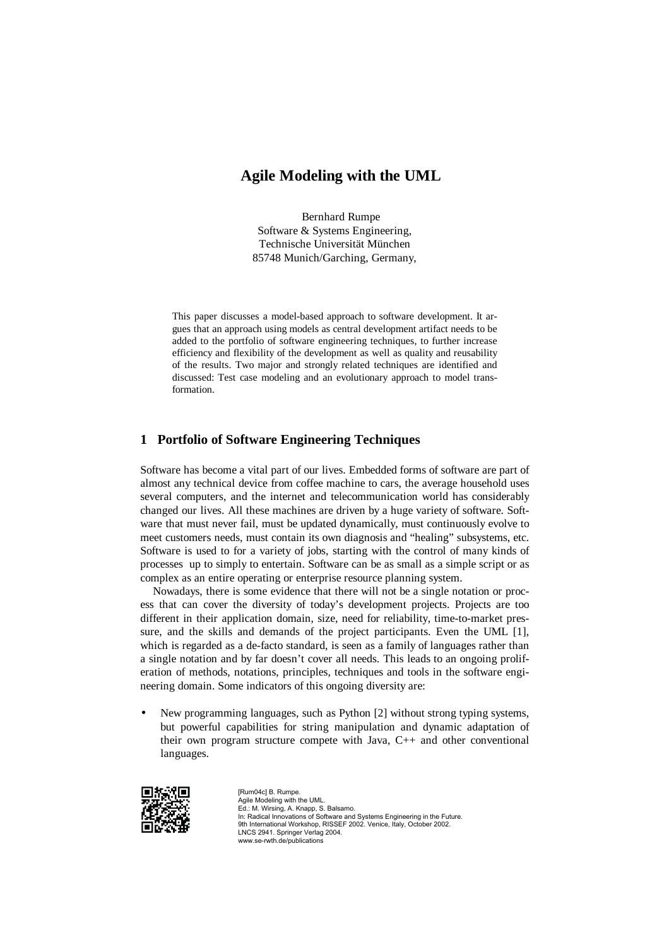# **Agile Modeling with the UML**

Bernhard Rumpe Software & Systems Engineering, Technische Universität München 85748 Munich/Garching, Germany,

This paper discusses a model-based approach to software development. It argues that an approach using models as central development artifact needs to be added to the portfolio of software engineering techniques, to further increase efficiency and flexibility of the development as well as quality and reusability of the results. Two major and strongly related techniques are identified and discussed: Test case modeling and an evolutionary approach to model transformation.

## **1 Portfolio of Software Engineering Techniques**

Software has become a vital part of our lives. Embedded forms of software are part of almost any technical device from coffee machine to cars, the average household uses several computers, and the internet and telecommunication world has considerably changed our lives. All these machines are driven by a huge variety of software. Software that must never fail, must be updated dynamically, must continuously evolve to meet customers needs, must contain its own diagnosis and "healing" subsystems, etc. Software is used to for a variety of jobs, starting with the control of many kinds of processes up to simply to entertain. Software can be as small as a simple script or as complex as an entire operating or enterprise resource planning system.

Nowadays, there is some evidence that there will not be a single notation or process that can cover the diversity of today's development projects. Projects are too different in their application domain, size, need for reliability, time-to-market pressure, and the skills and demands of the project participants. Even the UML [1], which is regarded as a de-facto standard, is seen as a family of languages rather than a single notation and by far doesn't cover all needs. This leads to an ongoing proliferation of methods, notations, principles, techniques and tools in the software engineering domain. Some indicators of this ongoing diversity are:

• New programming languages, such as Python [2] without strong typing systems, but powerful capabilities for string manipulation and dynamic adaptation of their own program structure compete with Java, C++ and other conventional languages.



[Rum04c] B. Rumpe. Agile Modeling with the UML. Ed.: M. Wirsing, A. Knapp, S. Balsamo. In: Radical Innovations of Software and Systems Engineering in the Future. 9th International Workshop, RISSEF 2002. Venice, Italy, October 2002. LNCS 2941. Springer Verlag 2004. www.se-rwth.de/publications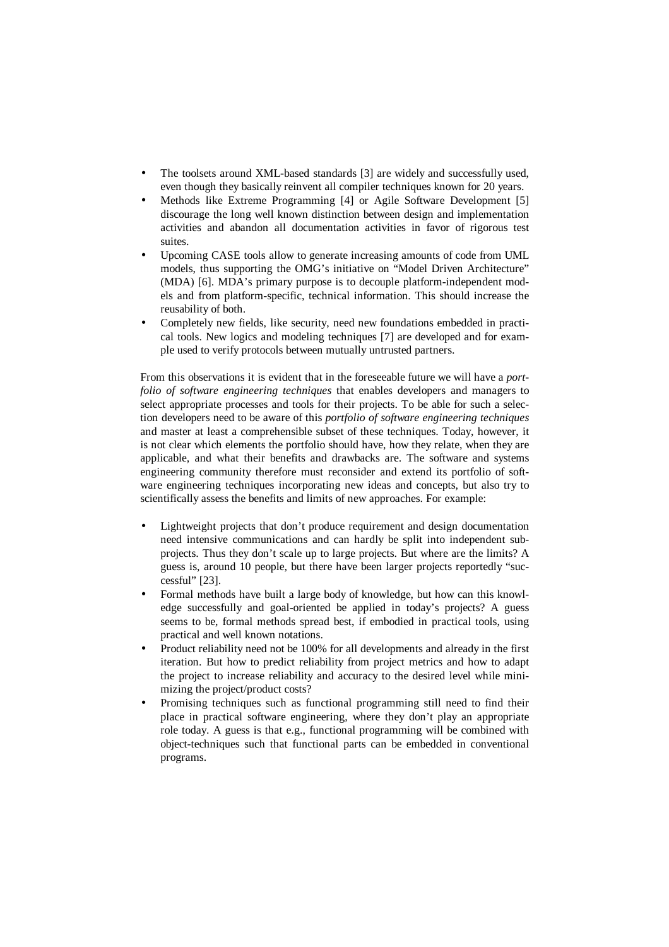- The toolsets around XML-based standards [3] are widely and successfully used, even though they basically reinvent all compiler techniques known for 20 years.
- Methods like Extreme Programming [4] or Agile Software Development [5] discourage the long well known distinction between design and implementation activities and abandon all documentation activities in favor of rigorous test suites.
- Upcoming CASE tools allow to generate increasing amounts of code from UML models, thus supporting the OMG's initiative on "Model Driven Architecture" (MDA) [6]. MDA's primary purpose is to decouple platform-independent models and from platform-specific, technical information. This should increase the reusability of both.
- Completely new fields, like security, need new foundations embedded in practical tools. New logics and modeling techniques [7] are developed and for example used to verify protocols between mutually untrusted partners.

From this observations it is evident that in the foreseeable future we will have a *portfolio of software engineering techniques* that enables developers and managers to select appropriate processes and tools for their projects. To be able for such a selection developers need to be aware of this *portfolio of software engineering techniques* and master at least a comprehensible subset of these techniques. Today, however, it is not clear which elements the portfolio should have, how they relate, when they are applicable, and what their benefits and drawbacks are. The software and systems engineering community therefore must reconsider and extend its portfolio of software engineering techniques incorporating new ideas and concepts, but also try to scientifically assess the benefits and limits of new approaches. For example:

- Lightweight projects that don't produce requirement and design documentation need intensive communications and can hardly be split into independent subprojects. Thus they don't scale up to large projects. But where are the limits? A guess is, around 10 people, but there have been larger projects reportedly "successful" [23].
- Formal methods have built a large body of knowledge, but how can this knowledge successfully and goal-oriented be applied in today's projects? A guess seems to be, formal methods spread best, if embodied in practical tools, using practical and well known notations.
- Product reliability need not be 100% for all developments and already in the first iteration. But how to predict reliability from project metrics and how to adapt the project to increase reliability and accuracy to the desired level while minimizing the project/product costs?
- Promising techniques such as functional programming still need to find their place in practical software engineering, where they don't play an appropriate role today. A guess is that e.g., functional programming will be combined with object-techniques such that functional parts can be embedded in conventional programs.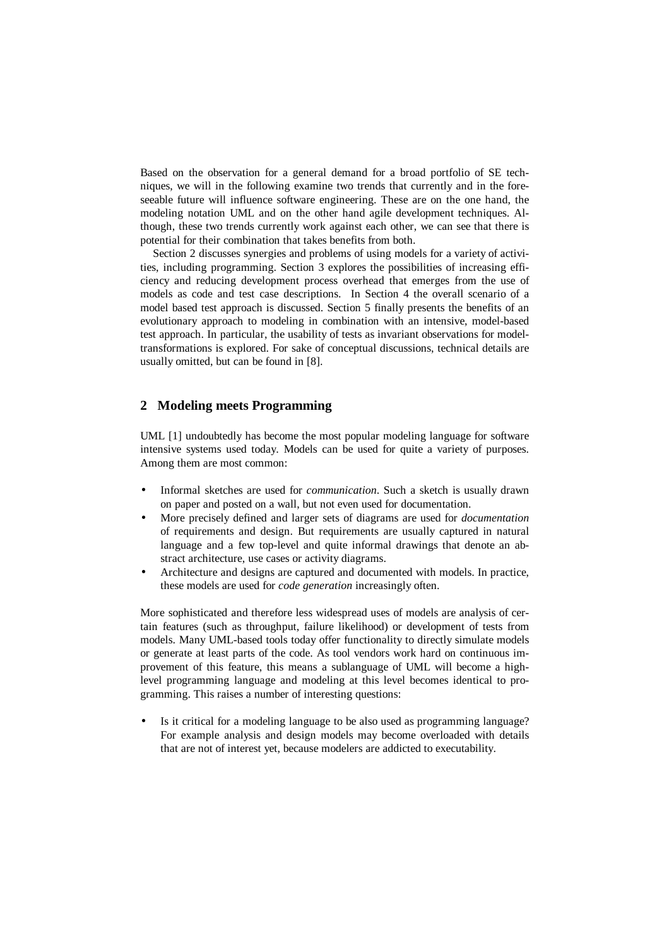Based on the observation for a general demand for a broad portfolio of SE techniques, we will in the following examine two trends that currently and in the foreseeable future will influence software engineering. These are on the one hand, the modeling notation UML and on the other hand agile development techniques. Although, these two trends currently work against each other, we can see that there is potential for their combination that takes benefits from both.

Section 2 discusses synergies and problems of using models for a variety of activities, including programming. Section 3 explores the possibilities of increasing efficiency and reducing development process overhead that emerges from the use of models as code and test case descriptions. In Section 4 the overall scenario of a model based test approach is discussed. Section 5 finally presents the benefits of an evolutionary approach to modeling in combination with an intensive, model-based test approach. In particular, the usability of tests as invariant observations for modeltransformations is explored. For sake of conceptual discussions, technical details are usually omitted, but can be found in [8].

### **2 Modeling meets Programming**

UML [1] undoubtedly has become the most popular modeling language for software intensive systems used today. Models can be used for quite a variety of purposes. Among them are most common:

- Informal sketches are used for *communication*. Such a sketch is usually drawn on paper and posted on a wall, but not even used for documentation.
- More precisely defined and larger sets of diagrams are used for *documentation* of requirements and design. But requirements are usually captured in natural language and a few top-level and quite informal drawings that denote an abstract architecture, use cases or activity diagrams.
- Architecture and designs are captured and documented with models. In practice, these models are used for *code generation* increasingly often.

More sophisticated and therefore less widespread uses of models are analysis of certain features (such as throughput, failure likelihood) or development of tests from models. Many UML-based tools today offer functionality to directly simulate models or generate at least parts of the code. As tool vendors work hard on continuous improvement of this feature, this means a sublanguage of UML will become a highlevel programming language and modeling at this level becomes identical to programming. This raises a number of interesting questions:

• Is it critical for a modeling language to be also used as programming language? For example analysis and design models may become overloaded with details that are not of interest yet, because modelers are addicted to executability.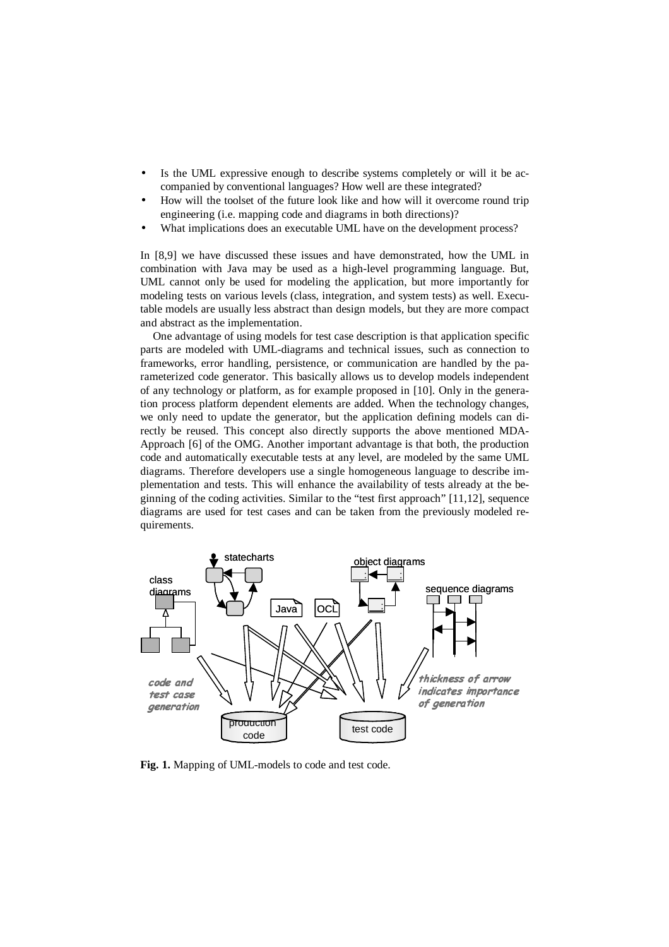- Is the UML expressive enough to describe systems completely or will it be accompanied by conventional languages? How well are these integrated?
- How will the toolset of the future look like and how will it overcome round trip engineering (i.e. mapping code and diagrams in both directions)?
- What implications does an executable UML have on the development process?

In [8,9] we have discussed these issues and have demonstrated, how the UML in combination with Java may be used as a high-level programming language. But, UML cannot only be used for modeling the application, but more importantly for modeling tests on various levels (class, integration, and system tests) as well. Executable models are usually less abstract than design models, but they are more compact and abstract as the implementation.

One advantage of using models for test case description is that application specific parts are modeled with UML-diagrams and technical issues, such as connection to frameworks, error handling, persistence, or communication are handled by the parameterized code generator. This basically allows us to develop models independent of any technology or platform, as for example proposed in [10]. Only in the generation process platform dependent elements are added. When the technology changes, we only need to update the generator, but the application defining models can directly be reused. This concept also directly supports the above mentioned MDA-Approach [6] of the OMG. Another important advantage is that both, the production code and automatically executable tests at any level, are modeled by the same UML diagrams. Therefore developers use a single homogeneous language to describe implementation and tests. This will enhance the availability of tests already at the beginning of the coding activities. Similar to the "test first approach" [11,12], sequence diagrams are used for test cases and can be taken from the previously modeled requirements.



**Fig. 1.** Mapping of UML-models to code and test code.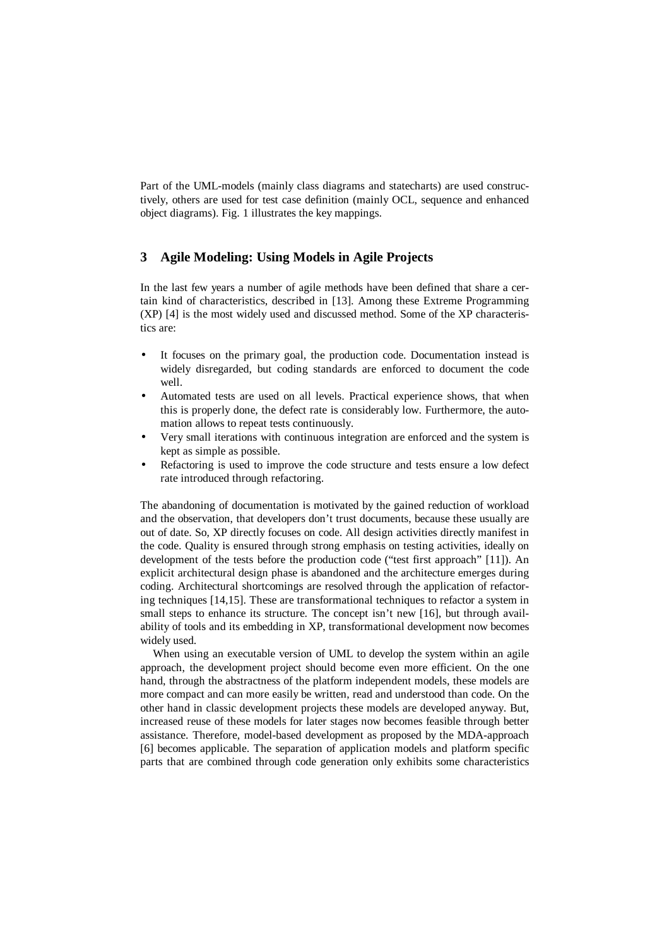Part of the UML-models (mainly class diagrams and statecharts) are used constructively, others are used for test case definition (mainly OCL, sequence and enhanced object diagrams). Fig. 1 illustrates the key mappings.

## **3 Agile Modeling: Using Models in Agile Projects**

In the last few years a number of agile methods have been defined that share a certain kind of characteristics, described in [13]. Among these Extreme Programming (XP) [4] is the most widely used and discussed method. Some of the XP characteristics are:

- It focuses on the primary goal, the production code. Documentation instead is widely disregarded, but coding standards are enforced to document the code well.
- Automated tests are used on all levels. Practical experience shows, that when this is properly done, the defect rate is considerably low. Furthermore, the automation allows to repeat tests continuously.
- Very small iterations with continuous integration are enforced and the system is kept as simple as possible.
- Refactoring is used to improve the code structure and tests ensure a low defect rate introduced through refactoring.

The abandoning of documentation is motivated by the gained reduction of workload and the observation, that developers don't trust documents, because these usually are out of date. So, XP directly focuses on code. All design activities directly manifest in the code. Quality is ensured through strong emphasis on testing activities, ideally on development of the tests before the production code ("test first approach" [11]). An explicit architectural design phase is abandoned and the architecture emerges during coding. Architectural shortcomings are resolved through the application of refactoring techniques [14,15]. These are transformational techniques to refactor a system in small steps to enhance its structure. The concept isn't new [16], but through availability of tools and its embedding in XP, transformational development now becomes widely used.

When using an executable version of UML to develop the system within an agile approach, the development project should become even more efficient. On the one hand, through the abstractness of the platform independent models, these models are more compact and can more easily be written, read and understood than code. On the other hand in classic development projects these models are developed anyway. But, increased reuse of these models for later stages now becomes feasible through better assistance. Therefore, model-based development as proposed by the MDA-approach [6] becomes applicable. The separation of application models and platform specific parts that are combined through code generation only exhibits some characteristics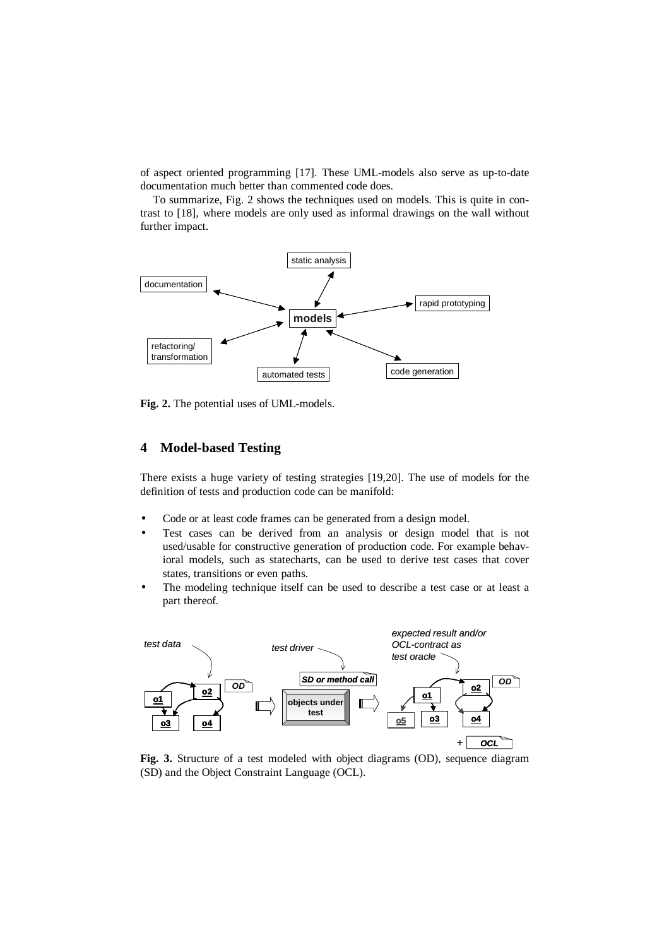of aspect oriented programming [17]. These UML-models also serve as up-to-date documentation much better than commented code does.

To summarize, Fig. 2 shows the techniques used on models. This is quite in contrast to [18], where models are only used as informal drawings on the wall without further impact.



**Fig. 2.** The potential uses of UML-models.

### **4 Model-based Testing**

There exists a huge variety of testing strategies [19,20]. The use of models for the definition of tests and production code can be manifold:

- Code or at least code frames can be generated from a design model.
- Test cases can be derived from an analysis or design model that is not used/usable for constructive generation of production code. For example behavioral models, such as statecharts, can be used to derive test cases that cover states, transitions or even paths.
- The modeling technique itself can be used to describe a test case or at least a part thereof.



**Fig. 3.** Structure of a test modeled with object diagrams (OD), sequence diagram (SD) and the Object Constraint Language (OCL).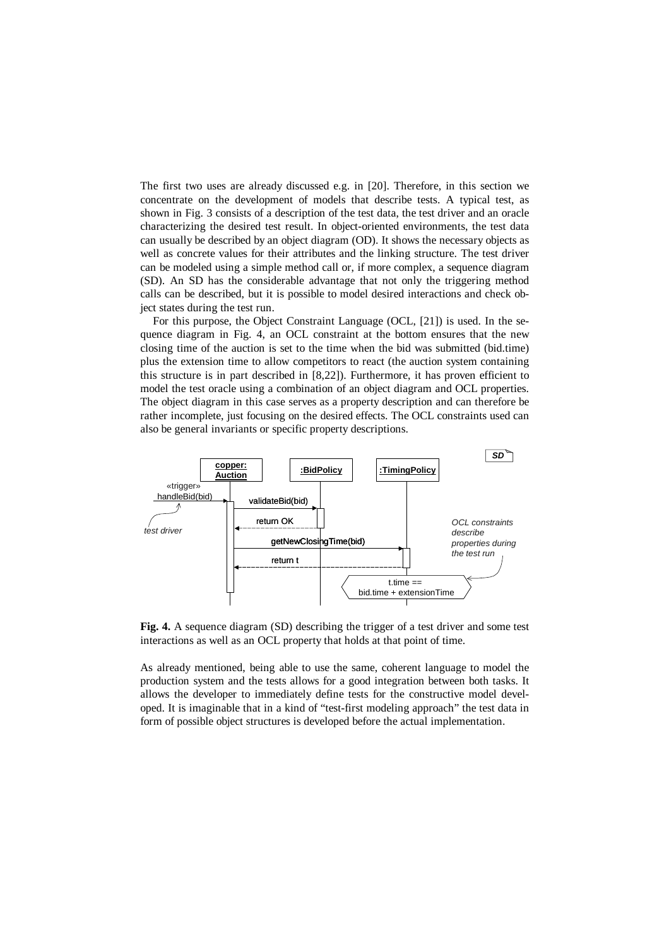The first two uses are already discussed e.g. in [20]. Therefore, in this section we concentrate on the development of models that describe tests. A typical test, as shown in Fig. 3 consists of a description of the test data, the test driver and an oracle characterizing the desired test result. In object-oriented environments, the test data can usually be described by an object diagram (OD). It shows the necessary objects as well as concrete values for their attributes and the linking structure. The test driver can be modeled using a simple method call or, if more complex, a sequence diagram (SD). An SD has the considerable advantage that not only the triggering method calls can be described, but it is possible to model desired interactions and check object states during the test run.

For this purpose, the Object Constraint Language (OCL, [21]) is used. In the sequence diagram in Fig. 4, an OCL constraint at the bottom ensures that the new closing time of the auction is set to the time when the bid was submitted (bid.time) plus the extension time to allow competitors to react (the auction system containing this structure is in part described in [8,22]). Furthermore, it has proven efficient to model the test oracle using a combination of an object diagram and OCL properties. The object diagram in this case serves as a property description and can therefore be rather incomplete, just focusing on the desired effects. The OCL constraints used can also be general invariants or specific property descriptions.



**Fig. 4.** A sequence diagram (SD) describing the trigger of a test driver and some test interactions as well as an OCL property that holds at that point of time.

As already mentioned, being able to use the same, coherent language to model the production system and the tests allows for a good integration between both tasks. It allows the developer to immediately define tests for the constructive model developed. It is imaginable that in a kind of "test-first modeling approach" the test data in form of possible object structures is developed before the actual implementation.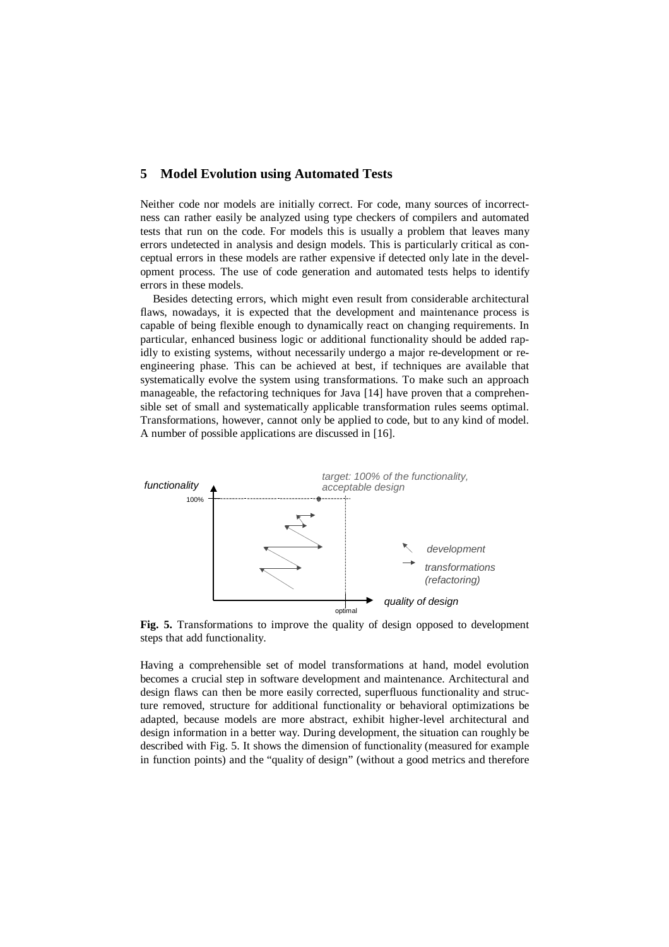### **5 Model Evolution using Automated Tests**

Neither code nor models are initially correct. For code, many sources of incorrectness can rather easily be analyzed using type checkers of compilers and automated tests that run on the code. For models this is usually a problem that leaves many errors undetected in analysis and design models. This is particularly critical as conceptual errors in these models are rather expensive if detected only late in the development process. The use of code generation and automated tests helps to identify errors in these models.

Besides detecting errors, which might even result from considerable architectural flaws, nowadays, it is expected that the development and maintenance process is capable of being flexible enough to dynamically react on changing requirements. In particular, enhanced business logic or additional functionality should be added rapidly to existing systems, without necessarily undergo a major re-development or reengineering phase. This can be achieved at best, if techniques are available that systematically evolve the system using transformations. To make such an approach manageable, the refactoring techniques for Java [14] have proven that a comprehensible set of small and systematically applicable transformation rules seems optimal. Transformations, however, cannot only be applied to code, but to any kind of model. A number of possible applications are discussed in [16].



**Fig. 5.** Transformations to improve the quality of design opposed to development steps that add functionality.

Having a comprehensible set of model transformations at hand, model evolution becomes a crucial step in software development and maintenance. Architectural and design flaws can then be more easily corrected, superfluous functionality and structure removed, structure for additional functionality or behavioral optimizations be adapted, because models are more abstract, exhibit higher-level architectural and design information in a better way. During development, the situation can roughly be described with Fig. 5. It shows the dimension of functionality (measured for example in function points) and the "quality of design" (without a good metrics and therefore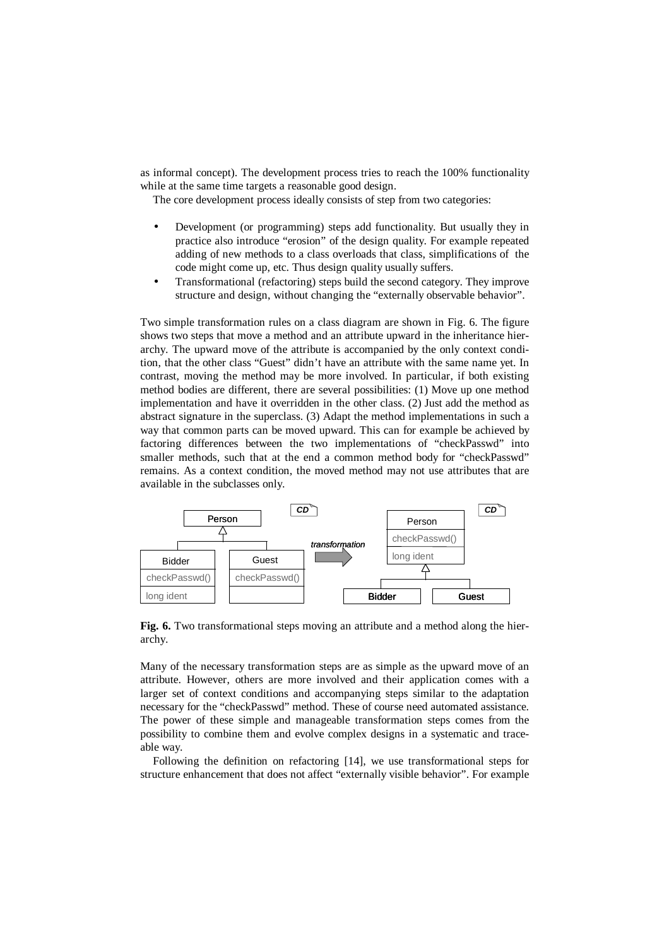as informal concept). The development process tries to reach the 100% functionality while at the same time targets a reasonable good design.

The core development process ideally consists of step from two categories:

- Development (or programming) steps add functionality. But usually they in practice also introduce "erosion" of the design quality. For example repeated adding of new methods to a class overloads that class, simplifications of the code might come up, etc. Thus design quality usually suffers.
- Transformational (refactoring) steps build the second category. They improve structure and design, without changing the "externally observable behavior".

Two simple transformation rules on a class diagram are shown in Fig. 6. The figure shows two steps that move a method and an attribute upward in the inheritance hierarchy. The upward move of the attribute is accompanied by the only context condition, that the other class "Guest" didn't have an attribute with the same name yet. In contrast, moving the method may be more involved. In particular, if both existing method bodies are different, there are several possibilities: (1) Move up one method implementation and have it overridden in the other class. (2) Just add the method as abstract signature in the superclass. (3) Adapt the method implementations in such a way that common parts can be moved upward. This can for example be achieved by factoring differences between the two implementations of "checkPasswd" into smaller methods, such that at the end a common method body for "checkPasswd" remains. As a context condition, the moved method may not use attributes that are available in the subclasses only.



**Fig. 6.** Two transformational steps moving an attribute and a method along the hierarchy.

Many of the necessary transformation steps are as simple as the upward move of an attribute. However, others are more involved and their application comes with a larger set of context conditions and accompanying steps similar to the adaptation necessary for the "checkPasswd" method. These of course need automated assistance. The power of these simple and manageable transformation steps comes from the possibility to combine them and evolve complex designs in a systematic and traceable way.

Following the definition on refactoring [14], we use transformational steps for structure enhancement that does not affect "externally visible behavior". For example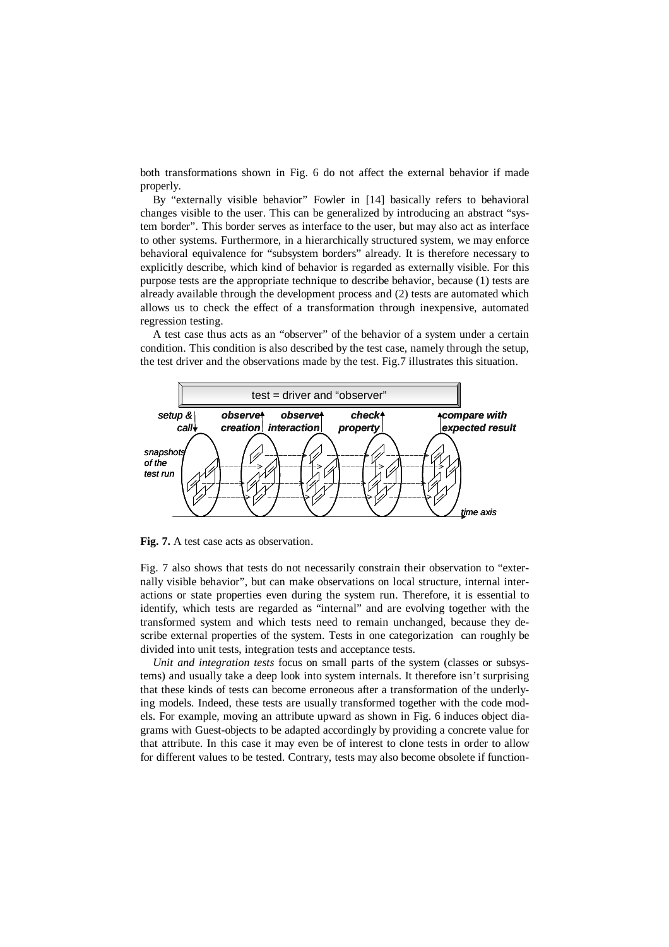both transformations shown in Fig. 6 do not affect the external behavior if made properly.

By "externally visible behavior" Fowler in [14] basically refers to behavioral changes visible to the user. This can be generalized by introducing an abstract "system border". This border serves as interface to the user, but may also act as interface to other systems. Furthermore, in a hierarchically structured system, we may enforce behavioral equivalence for "subsystem borders" already. It is therefore necessary to explicitly describe, which kind of behavior is regarded as externally visible. For this purpose tests are the appropriate technique to describe behavior, because (1) tests are already available through the development process and (2) tests are automated which allows us to check the effect of a transformation through inexpensive, automated regression testing.

A test case thus acts as an "observer" of the behavior of a system under a certain condition. This condition is also described by the test case, namely through the setup, the test driver and the observations made by the test. Fig.7 illustrates this situation.



**Fig. 7.** A test case acts as observation.

Fig. 7 also shows that tests do not necessarily constrain their observation to "externally visible behavior", but can make observations on local structure, internal interactions or state properties even during the system run. Therefore, it is essential to identify, which tests are regarded as "internal" and are evolving together with the transformed system and which tests need to remain unchanged, because they describe external properties of the system. Tests in one categorization can roughly be divided into unit tests, integration tests and acceptance tests.

*Unit and integration tests* focus on small parts of the system (classes or subsystems) and usually take a deep look into system internals. It therefore isn't surprising that these kinds of tests can become erroneous after a transformation of the underlying models. Indeed, these tests are usually transformed together with the code models. For example, moving an attribute upward as shown in Fig. 6 induces object diagrams with Guest-objects to be adapted accordingly by providing a concrete value for that attribute. In this case it may even be of interest to clone tests in order to allow for different values to be tested. Contrary, tests may also become obsolete if function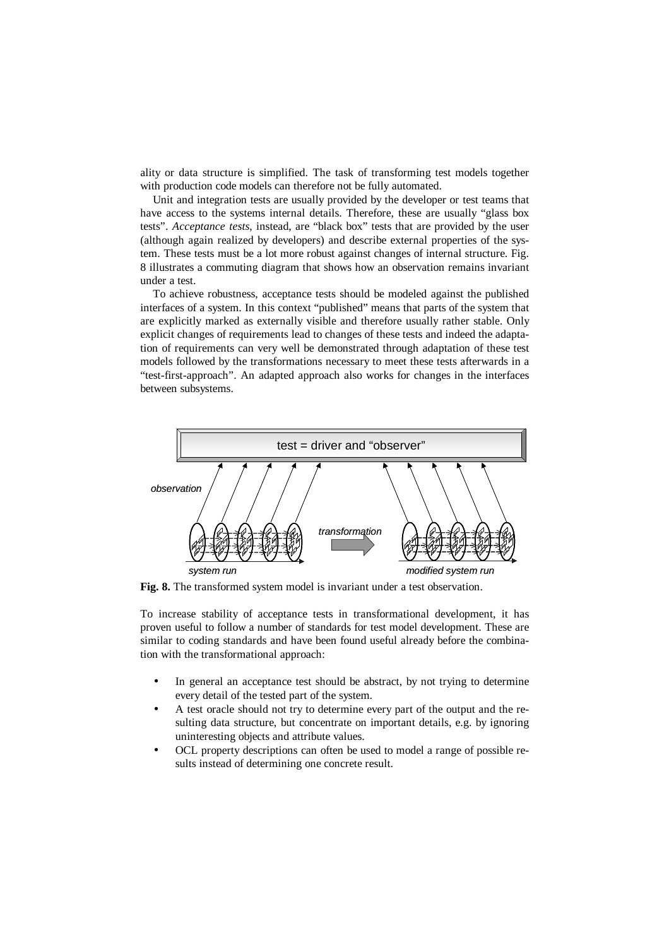ality or data structure is simplified. The task of transforming test models together with production code models can therefore not be fully automated.

Unit and integration tests are usually provided by the developer or test teams that have access to the systems internal details. Therefore, these are usually "glass box tests". *Acceptance tests*, instead, are "black box" tests that are provided by the user (although again realized by developers) and describe external properties of the system. These tests must be a lot more robust against changes of internal structure. Fig. 8 illustrates a commuting diagram that shows how an observation remains invariant under a test.

To achieve robustness, acceptance tests should be modeled against the published interfaces of a system. In this context "published" means that parts of the system that are explicitly marked as externally visible and therefore usually rather stable. Only explicit changes of requirements lead to changes of these tests and indeed the adaptation of requirements can very well be demonstrated through adaptation of these test models followed by the transformations necessary to meet these tests afterwards in a "test-first-approach". An adapted approach also works for changes in the interfaces between subsystems.



**Fig. 8.** The transformed system model is invariant under a test observation.

To increase stability of acceptance tests in transformational development, it has proven useful to follow a number of standards for test model development. These are similar to coding standards and have been found useful already before the combination with the transformational approach:

- In general an acceptance test should be abstract, by not trying to determine every detail of the tested part of the system.
- A test oracle should not try to determine every part of the output and the resulting data structure, but concentrate on important details, e.g. by ignoring uninteresting objects and attribute values.
- OCL property descriptions can often be used to model a range of possible results instead of determining one concrete result.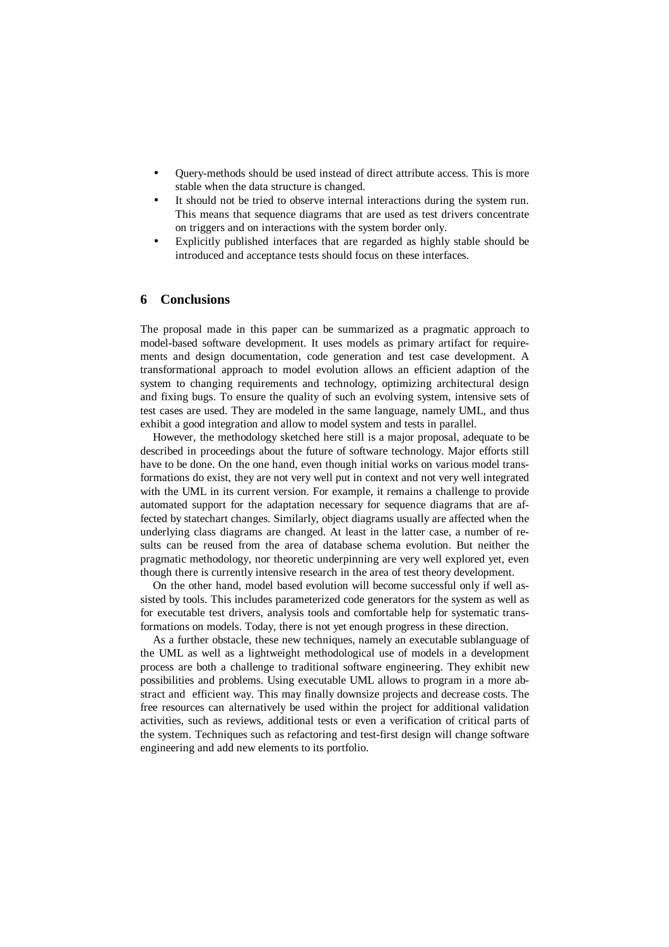- Query-methods should be used instead of direct attribute access. This is more stable when the data structure is changed.
- It should not be tried to observe internal interactions during the system run. This means that sequence diagrams that are used as test drivers concentrate on triggers and on interactions with the system border only.
- Explicitly published interfaces that are regarded as highly stable should be introduced and acceptance tests should focus on these interfaces.

#### **6 Conclusions**

The proposal made in this paper can be summarized as a pragmatic approach to model-based software development. It uses models as primary artifact for requirements and design documentation, code generation and test case development. A transformational approach to model evolution allows an efficient adaption of the system to changing requirements and technology, optimizing architectural design and fixing bugs. To ensure the quality of such an evolving system, intensive sets of test cases are used. They are modeled in the same language, namely UML, and thus exhibit a good integration and allow to model system and tests in parallel.

However, the methodology sketched here still is a major proposal, adequate to be described in proceedings about the future of software technology. Major efforts still have to be done. On the one hand, even though initial works on various model transformations do exist, they are not very well put in context and not very well integrated with the UML in its current version. For example, it remains a challenge to provide automated support for the adaptation necessary for sequence diagrams that are affected by statechart changes. Similarly, object diagrams usually are affected when the underlying class diagrams are changed. At least in the latter case, a number of results can be reused from the area of database schema evolution. But neither the pragmatic methodology, nor theoretic underpinning are very well explored yet, even though there is currently intensive research in the area of test theory development.

On the other hand, model based evolution will become successful only if well assisted by tools. This includes parameterized code generators for the system as well as for executable test drivers, analysis tools and comfortable help for systematic transformations on models. Today, there is not yet enough progress in these direction.

As a further obstacle, these new techniques, namely an executable sublanguage of the UML as well as a lightweight methodological use of models in a development process are both a challenge to traditional software engineering. They exhibit new possibilities and problems. Using executable UML allows to program in a more abstract and efficient way. This may finally downsize projects and decrease costs. The free resources can alternatively be used within the project for additional validation activities, such as reviews, additional tests or even a verification of critical parts of the system. Techniques such as refactoring and test-first design will change software engineering and add new elements to its portfolio.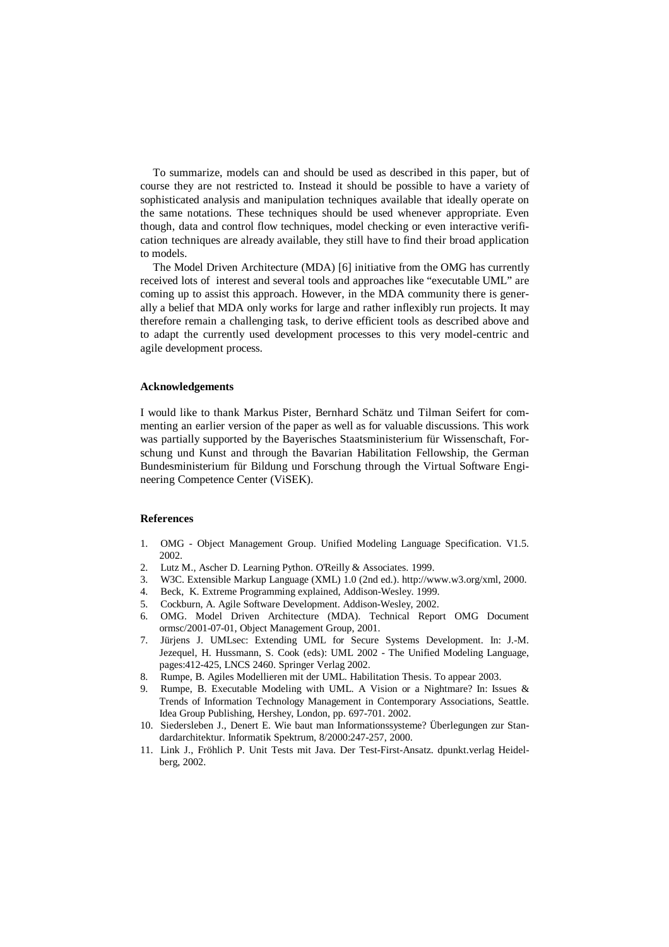To summarize, models can and should be used as described in this paper, but of course they are not restricted to. Instead it should be possible to have a variety of sophisticated analysis and manipulation techniques available that ideally operate on the same notations. These techniques should be used whenever appropriate. Even though, data and control flow techniques, model checking or even interactive verification techniques are already available, they still have to find their broad application to models.

The Model Driven Architecture (MDA) [6] initiative from the OMG has currently received lots of interest and several tools and approaches like "executable UML" are coming up to assist this approach. However, in the MDA community there is generally a belief that MDA only works for large and rather inflexibly run projects. It may therefore remain a challenging task, to derive efficient tools as described above and to adapt the currently used development processes to this very model-centric and agile development process.

#### **Acknowledgements**

I would like to thank Markus Pister, Bernhard Schätz und Tilman Seifert for commenting an earlier version of the paper as well as for valuable discussions. This work was partially supported by the Bayerisches Staatsministerium für Wissenschaft, Forschung und Kunst and through the Bavarian Habilitation Fellowship, the German Bundesministerium für Bildung und Forschung through the Virtual Software Engineering Competence Center (ViSEK).

#### **References**

- 1. OMG Object Management Group. Unified Modeling Language Specification. V1.5. 2002.
- 2. Lutz M., Ascher D. Learning Python. O'Reilly & Associates. 1999.
- 3. W3C. Extensible Markup Language (XML) 1.0 (2nd ed.). http://www.w3.org/xml, 2000.
- 4. Beck, K. Extreme Programming explained, Addison-Wesley. 1999.
- 5. Cockburn, A. Agile Software Development. Addison-Wesley, 2002.
- 6. OMG. Model Driven Architecture (MDA). Technical Report OMG Document ormsc/2001-07-01, Object Management Group, 2001.
- 7. Jürjens J. UMLsec: Extending UML for Secure Systems Development. In: J.-M. Jezequel, H. Hussmann, S. Cook (eds): UML 2002 - The Unified Modeling Language, pages:412-425, LNCS 2460. Springer Verlag 2002.
- 8. Rumpe, B. Agiles Modellieren mit der UML. Habilitation Thesis. To appear 2003.
- 9. Rumpe, B. Executable Modeling with UML. A Vision or a Nightmare? In: Issues & Trends of Information Technology Management in Contemporary Associations, Seattle. Idea Group Publishing, Hershey, London, pp. 697-701. 2002.
- 10. Siedersleben J., Denert E. Wie baut man Informationssysteme? Überlegungen zur Standardarchitektur. Informatik Spektrum, 8/2000:247-257, 2000.
- 11. Link J., Fröhlich P. Unit Tests mit Java. Der Test-First-Ansatz. dpunkt.verlag Heidelberg, 2002.